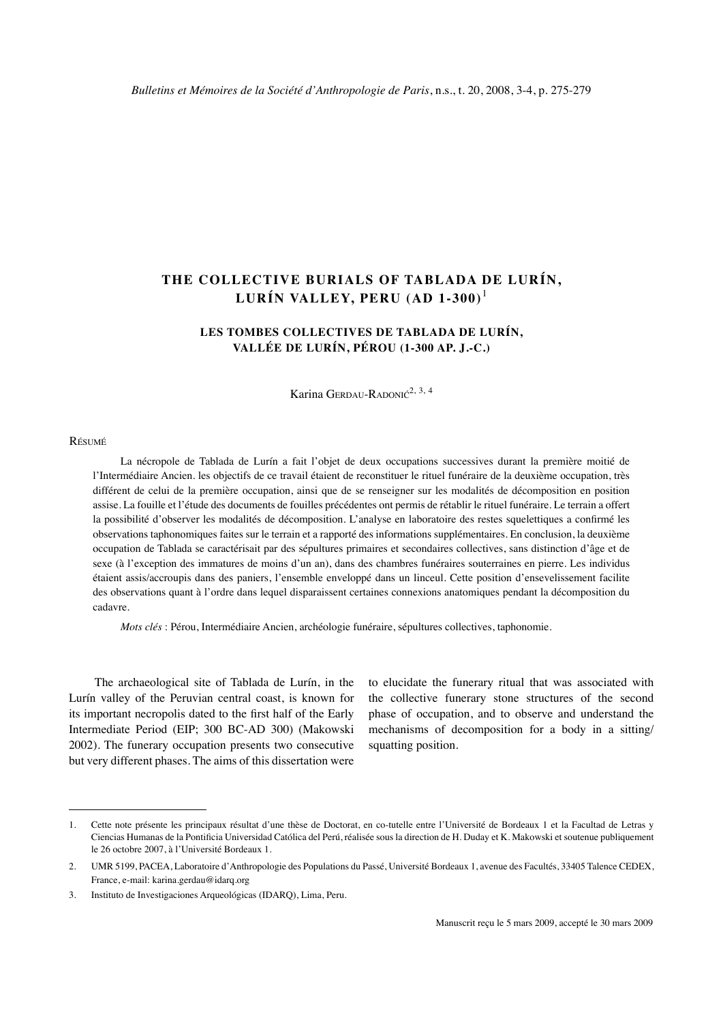# **The collective burials of Tablada de Lurín, Lurín valley, Peru (AD 1-300)**

# **Les tombes collectives de Tablada de Lurín, Vallée de Lurín, Pérou (1-300 ap. J.-C.)**

Karina GERDAU-RADONI $\zeta^{2,3,4}$ 

#### Résumé

La nécropole de tablada de lurín a fait l'objet de deux occupations successives durant la première moitié de l'Intermédiaire Ancien. les objectifs de ce travail étaient de reconstituer le rituel funéraire de la deuxième occupation, très différent de celui de la première occupation, ainsi que de se renseigner sur les modalités de décomposition en position assise. la fouille et l'étude des documents de fouilles précédentes ont permis de rétablir le rituel funéraire. le terrain a offert la possibilité d'observer les modalités de décomposition. l'analyse en laboratoire des restes squelettiques a confirmé les observations taphonomiques faites sur le terrain et a rapporté des informations supplémentaires. En conclusion, la deuxième occupation de tablada se caractérisait par des sépultures primaires et secondaires collectives, sans distinction d'âge et de sexe (à l'exception des immatures de moins d'un an), dans des chambres funéraires souterraines en pierre. les individus étaient assis/accroupis dans des paniers, l'ensemble enveloppé dans un linceul. cette position d'ensevelissement facilite des observations quant à l'ordre dans lequel disparaissent certaines connexions anatomiques pendant la décomposition du cadavre.

*Mots clés* : Pérou, Intermédiaire Ancien, archéologie funéraire, sépultures collectives, taphonomie.

The archaeological site of Tablada de Lurín, in the Lurín valley of the Peruvian central coast, is known for its important necropolis dated to the first half of the Early Intermediate Period (EIP; 300 BC-AD 300) (Makowski 2002). The funerary occupation presents two consecutive but very different phases. The aims of this dissertation were

to elucidate the funerary ritual that was associated with the collective funerary stone structures of the second phase of occupation, and to observe and understand the mechanisms of decomposition for a body in a sitting/ squatting position.

<sup>.</sup> Cette note présente les principaux résultat d'une thèse de Doctorat, en co-tutelle entre l'Université de Bordeaux 1 et la Facultad de Letras y Ciencias Humanas de la Pontificia Universidad Católica del Perú, réalisée sous la direction de H. Duday et K. Makowski et soutenue publiquement le 26 octobre 2007, à l'Université Bordeaux 1.

<sup>.</sup> UMR 5199, PACEA, Laboratoire d'Anthropologie des Populations du Passé, Université Bordeaux 1, avenue des Facultés, 33405 Talence CEDEX, France, e-mail: karina.gerdau@idarq.org

<sup>3.</sup> Instituto de Investigaciones Arqueológicas (IDARQ), Lima, Peru.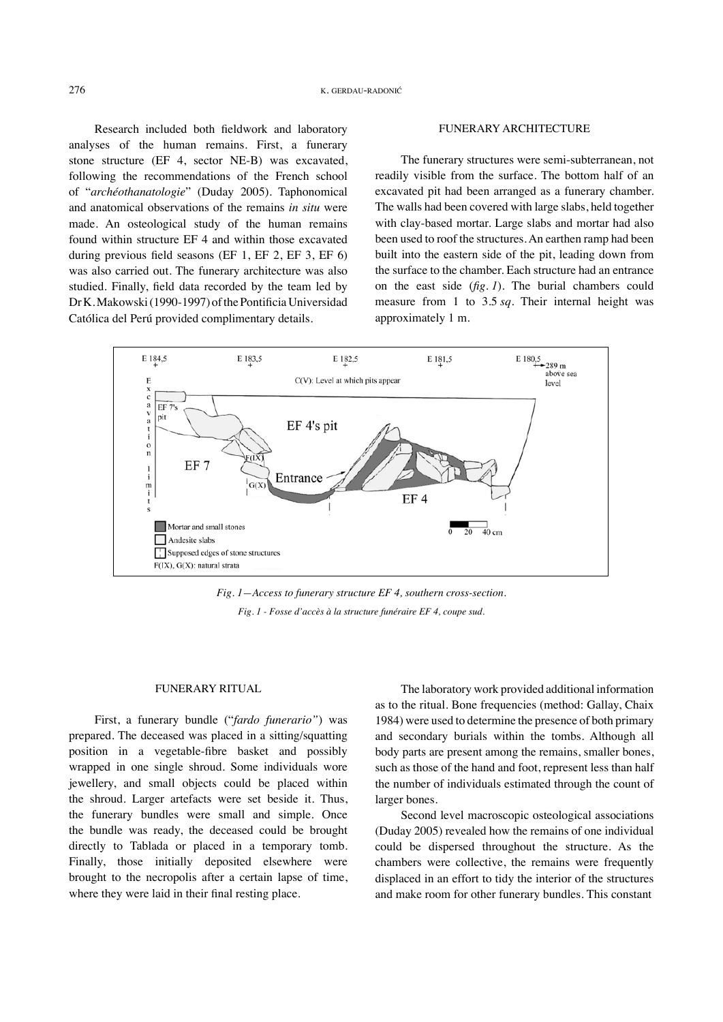Research included both fieldwork and laboratory analyses of the human remains. First, a funerary stone structure (EF 4, sector NE-B) was excavated, following the recommendations of the French school of "*archéothanatologie*" (Duday 2005). Taphonomical and anatomical observations of the remains *in situ* were made. An osteological study of the human remains found within structure EF 4 and within those excavated during previous field seasons (EF 1, EF 2, EF 3, EF 6) was also carried out. The funerary architecture was also studied. Finally, field data recorded by the team led by Dr K. Makowski (1990-1997) of the Pontificia Universidad Católica del Perú provided complimentary details.

#### Funerary architecture

The funerary structures were semi-subterranean, not readily visible from the surface. The bottom half of an excavated pit had been arranged as a funerary chamber. The walls had been covered with large slabs, held together with clay-based mortar. Large slabs and mortar had also been used to roof the structures. An earthen ramp had been built into the eastern side of the pit, leading down from the surface to the chamber. Each structure had an entrance on the east side (*fig. 1*). The burial chambers could measure from 1 to 3.5 *sq*. Their internal height was approximately 1 m.



*Fig. 1—Access to funerary structure EF 4, southern cross-section. Fig. 1 - Fosse d'accès à la structure funéraire EF 4, coupe sud.*

### Funerary ritual

First, a funerary bundle ("*fardo funerario"*) was prepared. The deceased was placed in a sitting/squatting position in a vegetable-fibre basket and possibly wrapped in one single shroud. Some individuals wore jewellery, and small objects could be placed within the shroud. Larger artefacts were set beside it. Thus, the funerary bundles were small and simple. Once the bundle was ready, the deceased could be brought directly to Tablada or placed in a temporary tomb. Finally, those initially deposited elsewhere were brought to the necropolis after a certain lapse of time, where they were laid in their final resting place.

The laboratory work provided additional information as to the ritual. Bone frequencies (method: Gallay, Chaix 1984) were used to determine the presence of both primary and secondary burials within the tombs. Although all body parts are present among the remains, smaller bones, such as those of the hand and foot, represent less than half the number of individuals estimated through the count of larger bones.

Second level macroscopic osteological associations (Duday 2005) revealed how the remains of one individual could be dispersed throughout the structure. As the chambers were collective, the remains were frequently displaced in an effort to tidy the interior of the structures and make room for other funerary bundles. This constant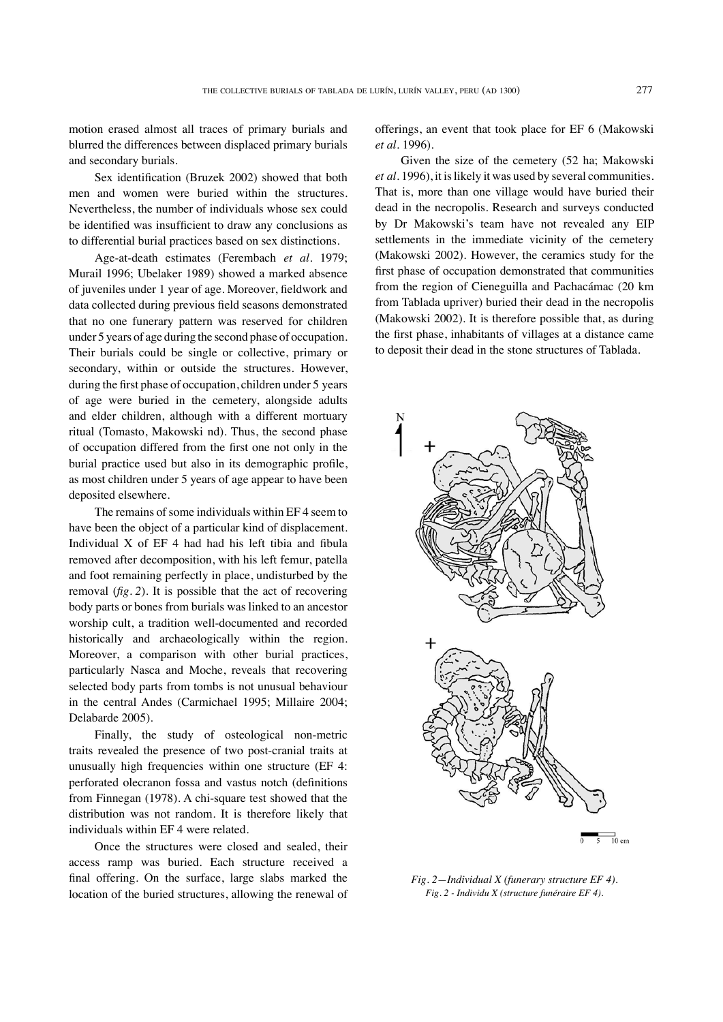motion erased almost all traces of primary burials and blurred the differences between displaced primary burials and secondary burials.

Sex identification (Bruzek 2002) showed that both men and women were buried within the structures. Nevertheless, the number of individuals whose sex could be identified was insufficient to draw any conclusions as to differential burial practices based on sex distinctions.

Age-at-death estimates (Ferembach *et al.* 1979; Murail 1996; Ubelaker 1989) showed a marked absence of juveniles under 1 year of age. Moreover, fieldwork and data collected during previous field seasons demonstrated that no one funerary pattern was reserved for children under 5 years of age during the second phase of occupation. Their burials could be single or collective, primary or secondary, within or outside the structures. However, during the first phase of occupation, children under 5 years of age were buried in the cemetery, alongside adults and elder children, although with a different mortuary ritual (Tomasto, Makowski nd). Thus, the second phase of occupation differed from the first one not only in the burial practice used but also in its demographic profile, as most children under 5 years of age appear to have been deposited elsewhere.

The remains of some individuals within EF 4 seem to have been the object of a particular kind of displacement. Individual X of EF 4 had had his left tibia and fibula removed after decomposition, with his left femur, patella and foot remaining perfectly in place, undisturbed by the removal (*fig. 2*). It is possible that the act of recovering body parts or bones from burials was linked to an ancestor worship cult, a tradition well-documented and recorded historically and archaeologically within the region. Moreover, a comparison with other burial practices, particularly Nasca and Moche, reveals that recovering selected body parts from tombs is not unusual behaviour in the central Andes (Carmichael 1995; Millaire 2004; Delabarde 2005).

Finally, the study of osteological non-metric traits revealed the presence of two post-cranial traits at unusually high frequencies within one structure (EF 4: perforated olecranon fossa and vastus notch (definitions from Finnegan (1978). A chi-square test showed that the distribution was not random. It is therefore likely that individuals within EF 4 were related.

Once the structures were closed and sealed, their access ramp was buried. Each structure received a final offering. On the surface, large slabs marked the location of the buried structures, allowing the renewal of offerings, an event that took place for EF 6 (Makowski *et al.* 1996).

Given the size of the cemetery (52 ha; Makowski *et al.* 1996), it is likely it was used by several communities. That is, more than one village would have buried their dead in the necropolis. Research and surveys conducted by Dr Makowski's team have not revealed any EIP settlements in the immediate vicinity of the cemetery (Makowski 2002). However, the ceramics study for the first phase of occupation demonstrated that communities from the region of Cieneguilla and Pachacámac (20 km from Tablada upriver) buried their dead in the necropolis (Makowski 2002). It is therefore possible that, as during the first phase, inhabitants of villages at a distance came to deposit their dead in the stone structures of Tablada.



*Fig. 2—Individual X (funerary structure EF 4). Fig. 2 - Individu X (structure funéraire EF 4).*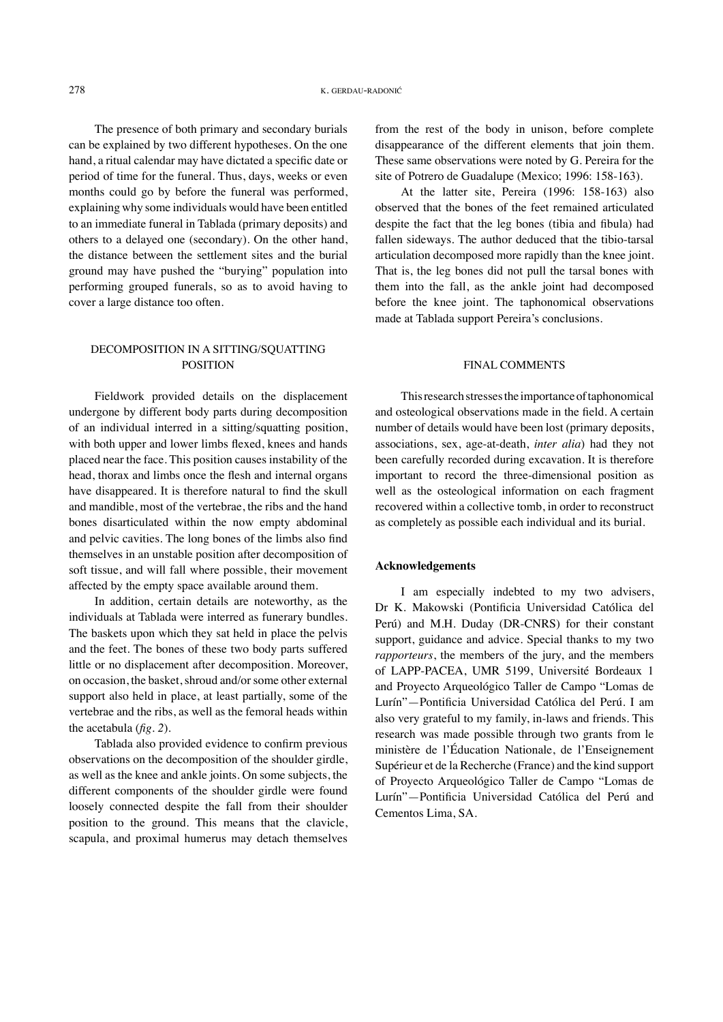The presence of both primary and secondary burials can be explained by two different hypotheses. On the one hand, a ritual calendar may have dictated a specific date or period of time for the funeral. Thus, days, weeks or even months could go by before the funeral was performed, explaining why some individuals would have been entitled to an immediate funeral in Tablada (primary deposits) and others to a delayed one (secondary). On the other hand, the distance between the settlement sites and the burial ground may have pushed the "burying" population into performing grouped funerals, so as to avoid having to cover a large distance too often.

## DECOMPOSITION IN A SITTING/SQUATTING **POSITION**

Fieldwork provided details on the displacement undergone by different body parts during decomposition of an individual interred in a sitting/squatting position, with both upper and lower limbs flexed, knees and hands placed near the face. This position causes instability of the head, thorax and limbs once the flesh and internal organs have disappeared. It is therefore natural to find the skull and mandible, most of the vertebrae, the ribs and the hand bones disarticulated within the now empty abdominal and pelvic cavities. The long bones of the limbs also find themselves in an unstable position after decomposition of soft tissue, and will fall where possible, their movement affected by the empty space available around them.

In addition, certain details are noteworthy, as the individuals at Tablada were interred as funerary bundles. The baskets upon which they sat held in place the pelvis and the feet. The bones of these two body parts suffered little or no displacement after decomposition. Moreover, on occasion, the basket, shroud and/or some other external support also held in place, at least partially, some of the vertebrae and the ribs, as well as the femoral heads within the acetabula (*fig. 2*).

Tablada also provided evidence to confirm previous observations on the decomposition of the shoulder girdle, as well as the knee and ankle joints. On some subjects, the different components of the shoulder girdle were found loosely connected despite the fall from their shoulder position to the ground. This means that the clavicle, scapula, and proximal humerus may detach themselves

from the rest of the body in unison, before complete disappearance of the different elements that join them. These same observations were noted by G. Pereira for the site of Potrero de Guadalupe (Mexico; 1996: 158-163).

At the latter site, Pereira (1996: 158-163) also observed that the bones of the feet remained articulated despite the fact that the leg bones (tibia and fibula) had fallen sideways. The author deduced that the tibio-tarsal articulation decomposed more rapidly than the knee joint. That is, the leg bones did not pull the tarsal bones with them into the fall, as the ankle joint had decomposed before the knee joint. The taphonomical observations made at Tablada support Pereira's conclusions.

## Final comments

This research stresses the importance of taphonomical and osteological observations made in the field. A certain number of details would have been lost (primary deposits, associations, sex, age-at-death, *inter alia*) had they not been carefully recorded during excavation. It is therefore important to record the three-dimensional position as well as the osteological information on each fragment recovered within a collective tomb, in order to reconstruct as completely as possible each individual and its burial.

#### **Acknowledgements**

I am especially indebted to my two advisers, Dr K. Makowski (Pontificia Universidad Católica del Perú) and M.H. Duday (DR-CNRS) for their constant support, guidance and advice. Special thanks to my two *rapporteurs*, the members of the jury, and the members of LAPP-PACEA, UMR 5199, Université Bordeaux 1 and Proyecto Arqueológico Taller de Campo "Lomas de Lurín"—Pontificia Universidad Católica del Perú. I am also very grateful to my family, in-laws and friends. This research was made possible through two grants from le ministère de l'Éducation Nationale, de l'Enseignement Supérieur et de la Recherche (France) and the kind support of Proyecto Arqueológico Taller de Campo "Lomas de Lurín"—Pontificia Universidad Católica del Perú and Cementos Lima, SA.